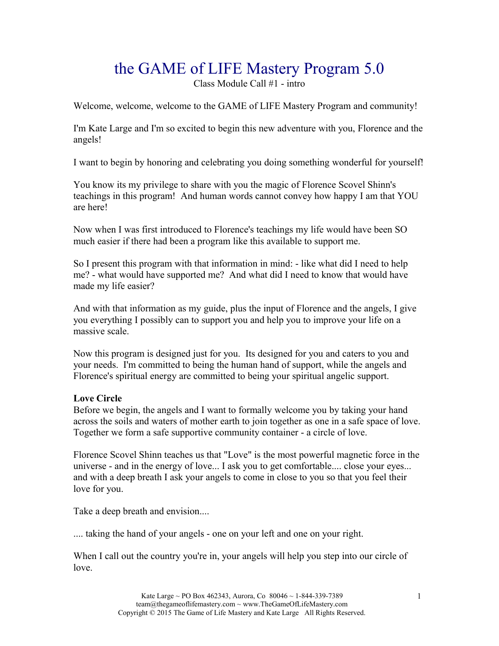# the GAME of LIFE Mastery Program 5.0

Class Module Call #1 - intro

Welcome, welcome, welcome to the GAME of LIFE Mastery Program and community!

I'm Kate Large and I'm so excited to begin this new adventure with you, Florence and the angels!

I want to begin by honoring and celebrating you doing something wonderful for yourself!

You know its my privilege to share with you the magic of Florence Scovel Shinn's teachings in this program! And human words cannot convey how happy I am that YOU are here!

Now when I was first introduced to Florence's teachings my life would have been SO much easier if there had been a program like this available to support me.

So I present this program with that information in mind: - like what did I need to help me? - what would have supported me? And what did I need to know that would have made my life easier?

And with that information as my guide, plus the input of Florence and the angels, I give you everything I possibly can to support you and help you to improve your life on a massive scale.

Now this program is designed just for you. Its designed for you and caters to you and your needs. I'm committed to being the human hand of support, while the angels and Florence's spiritual energy are committed to being your spiritual angelic support.

## **Love Circle**

Before we begin, the angels and I want to formally welcome you by taking your hand across the soils and waters of mother earth to join together as one in a safe space of love. Together we form a safe supportive community container - a circle of love.

Florence Scovel Shinn teaches us that "Love" is the most powerful magnetic force in the universe - and in the energy of love... I ask you to get comfortable.... close your eyes... and with a deep breath I ask your angels to come in close to you so that you feel their love for you.

Take a deep breath and envision....

.... taking the hand of your angels - one on your left and one on your right.

When I call out the country you're in, your angels will help you step into our circle of love.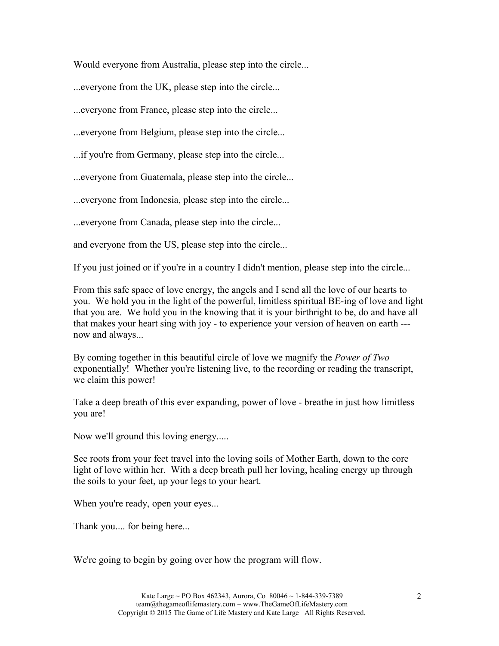Would everyone from Australia, please step into the circle...

...everyone from the UK, please step into the circle...

...everyone from France, please step into the circle...

...everyone from Belgium, please step into the circle...

...if you're from Germany, please step into the circle...

...everyone from Guatemala, please step into the circle...

...everyone from Indonesia, please step into the circle...

...everyone from Canada, please step into the circle...

and everyone from the US, please step into the circle...

If you just joined or if you're in a country I didn't mention, please step into the circle...

From this safe space of love energy, the angels and I send all the love of our hearts to you. We hold you in the light of the powerful, limitless spiritual BE-ing of love and light that you are. We hold you in the knowing that it is your birthright to be, do and have all that makes your heart sing with joy - to experience your version of heaven on earth -- now and always...

By coming together in this beautiful circle of love we magnify the *Power of Two*  exponentially! Whether you're listening live, to the recording or reading the transcript, we claim this power!

Take a deep breath of this ever expanding, power of love - breathe in just how limitless you are!

Now we'll ground this loving energy.....

See roots from your feet travel into the loving soils of Mother Earth, down to the core light of love within her. With a deep breath pull her loving, healing energy up through the soils to your feet, up your legs to your heart.

When you're ready, open your eyes...

Thank you.... for being here...

We're going to begin by going over how the program will flow.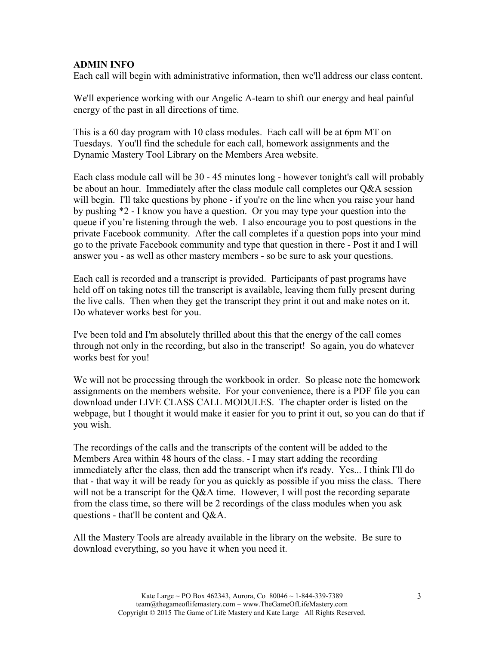## **ADMIN INFO**

Each call will begin with administrative information, then we'll address our class content.

We'll experience working with our Angelic A-team to shift our energy and heal painful energy of the past in all directions of time.

This is a 60 day program with 10 class modules. Each call will be at 6pm MT on Tuesdays. You'll find the schedule for each call, homework assignments and the Dynamic Mastery Tool Library on the Members Area website.

Each class module call will be 30 - 45 minutes long - however tonight's call will probably be about an hour. Immediately after the class module call completes our Q&A session will begin. I'll take questions by phone - if you're on the line when you raise your hand by pushing \*2 - I know you have a question. Or you may type your question into the queue if you're listening through the web. I also encourage you to post questions in the private Facebook community. After the call completes if a question pops into your mind go to the private Facebook community and type that question in there - Post it and I will answer you - as well as other mastery members - so be sure to ask your questions.

Each call is recorded and a transcript is provided. Participants of past programs have held off on taking notes till the transcript is available, leaving them fully present during the live calls. Then when they get the transcript they print it out and make notes on it. Do whatever works best for you.

I've been told and I'm absolutely thrilled about this that the energy of the call comes through not only in the recording, but also in the transcript! So again, you do whatever works best for you!

We will not be processing through the workbook in order. So please note the homework assignments on the members website. For your convenience, there is a PDF file you can download under LIVE CLASS CALL MODULES. The chapter order is listed on the webpage, but I thought it would make it easier for you to print it out, so you can do that if you wish.

The recordings of the calls and the transcripts of the content will be added to the Members Area within 48 hours of the class. - I may start adding the recording immediately after the class, then add the transcript when it's ready. Yes... I think I'll do that - that way it will be ready for you as quickly as possible if you miss the class. There will not be a transcript for the Q&A time. However, I will post the recording separate from the class time, so there will be 2 recordings of the class modules when you ask questions - that'll be content and Q&A.

All the Mastery Tools are already available in the library on the website. Be sure to download everything, so you have it when you need it.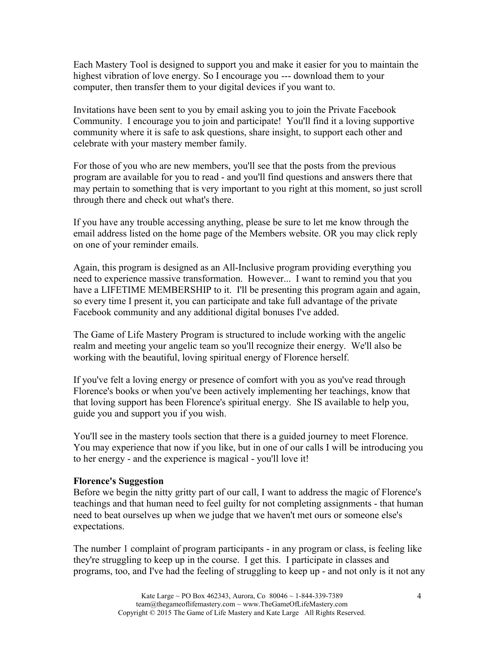Each Mastery Tool is designed to support you and make it easier for you to maintain the highest vibration of love energy. So I encourage you --- download them to your computer, then transfer them to your digital devices if you want to.

Invitations have been sent to you by email asking you to join the Private Facebook Community. I encourage you to join and participate! You'll find it a loving supportive community where it is safe to ask questions, share insight, to support each other and celebrate with your mastery member family.

For those of you who are new members, you'll see that the posts from the previous program are available for you to read - and you'll find questions and answers there that may pertain to something that is very important to you right at this moment, so just scroll through there and check out what's there.

If you have any trouble accessing anything, please be sure to let me know through the email address listed on the home page of the Members website. OR you may click reply on one of your reminder emails.

Again, this program is designed as an All-Inclusive program providing everything you need to experience massive transformation. However... I want to remind you that you have a LIFETIME MEMBERSHIP to it. I'll be presenting this program again and again, so every time I present it, you can participate and take full advantage of the private Facebook community and any additional digital bonuses I've added.

The Game of Life Mastery Program is structured to include working with the angelic realm and meeting your angelic team so you'll recognize their energy. We'll also be working with the beautiful, loving spiritual energy of Florence herself.

If you've felt a loving energy or presence of comfort with you as you've read through Florence's books or when you've been actively implementing her teachings, know that that loving support has been Florence's spiritual energy. She IS available to help you, guide you and support you if you wish.

You'll see in the mastery tools section that there is a guided journey to meet Florence. You may experience that now if you like, but in one of our calls I will be introducing you to her energy - and the experience is magical - you'll love it!

#### **Florence's Suggestion**

Before we begin the nitty gritty part of our call, I want to address the magic of Florence's teachings and that human need to feel guilty for not completing assignments - that human need to beat ourselves up when we judge that we haven't met ours or someone else's expectations.

The number 1 complaint of program participants - in any program or class, is feeling like they're struggling to keep up in the course. I get this. I participate in classes and programs, too, and I've had the feeling of struggling to keep up - and not only is it not any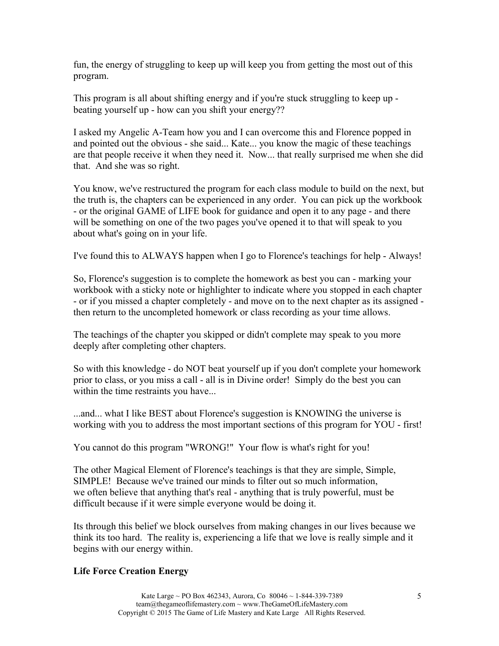fun, the energy of struggling to keep up will keep you from getting the most out of this program.

This program is all about shifting energy and if you're stuck struggling to keep up beating yourself up - how can you shift your energy??

I asked my Angelic A-Team how you and I can overcome this and Florence popped in and pointed out the obvious - she said... Kate... you know the magic of these teachings are that people receive it when they need it. Now... that really surprised me when she did that. And she was so right.

You know, we've restructured the program for each class module to build on the next, but the truth is, the chapters can be experienced in any order. You can pick up the workbook - or the original GAME of LIFE book for guidance and open it to any page - and there will be something on one of the two pages you've opened it to that will speak to you about what's going on in your life.

I've found this to ALWAYS happen when I go to Florence's teachings for help - Always!

So, Florence's suggestion is to complete the homework as best you can - marking your workbook with a sticky note or highlighter to indicate where you stopped in each chapter - or if you missed a chapter completely - and move on to the next chapter as its assigned then return to the uncompleted homework or class recording as your time allows.

The teachings of the chapter you skipped or didn't complete may speak to you more deeply after completing other chapters.

So with this knowledge - do NOT beat yourself up if you don't complete your homework prior to class, or you miss a call - all is in Divine order! Simply do the best you can within the time restraints you have...

...and... what I like BEST about Florence's suggestion is KNOWING the universe is working with you to address the most important sections of this program for YOU - first!

You cannot do this program "WRONG!" Your flow is what's right for you!

The other Magical Element of Florence's teachings is that they are simple, Simple, SIMPLE! Because we've trained our minds to filter out so much information, we often believe that anything that's real - anything that is truly powerful, must be difficult because if it were simple everyone would be doing it.

Its through this belief we block ourselves from making changes in our lives because we think its too hard. The reality is, experiencing a life that we love is really simple and it begins with our energy within.

## **Life Force Creation Energy**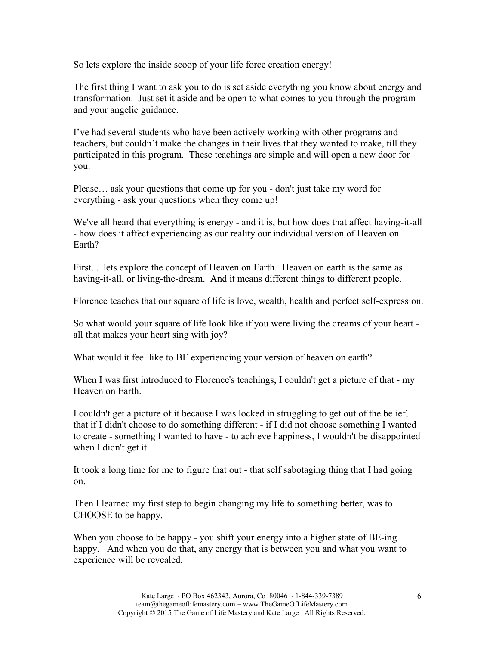So lets explore the inside scoop of your life force creation energy!

The first thing I want to ask you to do is set aside everything you know about energy and transformation. Just set it aside and be open to what comes to you through the program and your angelic guidance.

I've had several students who have been actively working with other programs and teachers, but couldn't make the changes in their lives that they wanted to make, till they participated in this program. These teachings are simple and will open a new door for you.

Please… ask your questions that come up for you - don't just take my word for everything - ask your questions when they come up!

We've all heard that everything is energy - and it is, but how does that affect having-it-all - how does it affect experiencing as our reality our individual version of Heaven on Earth?

First... lets explore the concept of Heaven on Earth. Heaven on earth is the same as having-it-all, or living-the-dream. And it means different things to different people.

Florence teaches that our square of life is love, wealth, health and perfect self-expression.

So what would your square of life look like if you were living the dreams of your heart all that makes your heart sing with joy?

What would it feel like to BE experiencing your version of heaven on earth?

When I was first introduced to Florence's teachings, I couldn't get a picture of that - my Heaven on Earth.

I couldn't get a picture of it because I was locked in struggling to get out of the belief, that if I didn't choose to do something different - if I did not choose something I wanted to create - something I wanted to have - to achieve happiness, I wouldn't be disappointed when I didn't get it.

It took a long time for me to figure that out - that self sabotaging thing that I had going on.

Then I learned my first step to begin changing my life to something better, was to CHOOSE to be happy.

When you choose to be happy - you shift your energy into a higher state of BE-ing happy. And when you do that, any energy that is between you and what you want to experience will be revealed.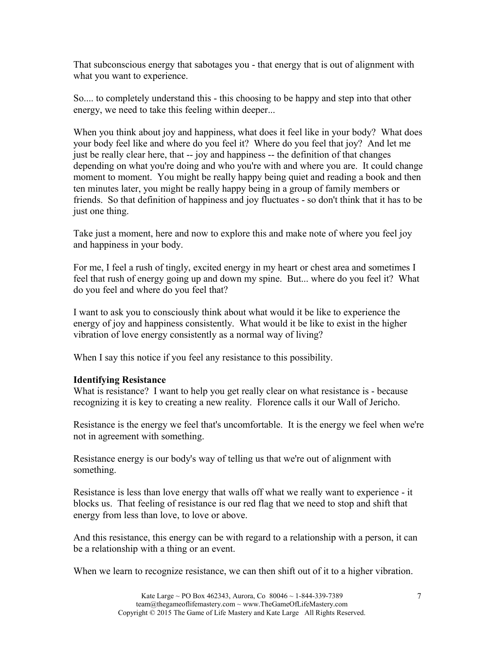That subconscious energy that sabotages you - that energy that is out of alignment with what you want to experience.

So.... to completely understand this - this choosing to be happy and step into that other energy, we need to take this feeling within deeper...

When you think about joy and happiness, what does it feel like in your body? What does your body feel like and where do you feel it? Where do you feel that joy? And let me just be really clear here, that -- joy and happiness -- the definition of that changes depending on what you're doing and who you're with and where you are. It could change moment to moment. You might be really happy being quiet and reading a book and then ten minutes later, you might be really happy being in a group of family members or friends. So that definition of happiness and joy fluctuates - so don't think that it has to be just one thing.

Take just a moment, here and now to explore this and make note of where you feel joy and happiness in your body.

For me, I feel a rush of tingly, excited energy in my heart or chest area and sometimes I feel that rush of energy going up and down my spine. But... where do you feel it? What do you feel and where do you feel that?

I want to ask you to consciously think about what would it be like to experience the energy of joy and happiness consistently. What would it be like to exist in the higher vibration of love energy consistently as a normal way of living?

When I say this notice if you feel any resistance to this possibility.

## **Identifying Resistance**

What is resistance? I want to help you get really clear on what resistance is - because recognizing it is key to creating a new reality. Florence calls it our Wall of Jericho.

Resistance is the energy we feel that's uncomfortable. It is the energy we feel when we're not in agreement with something.

Resistance energy is our body's way of telling us that we're out of alignment with something.

Resistance is less than love energy that walls off what we really want to experience - it blocks us. That feeling of resistance is our red flag that we need to stop and shift that energy from less than love, to love or above.

And this resistance, this energy can be with regard to a relationship with a person, it can be a relationship with a thing or an event.

When we learn to recognize resistance, we can then shift out of it to a higher vibration.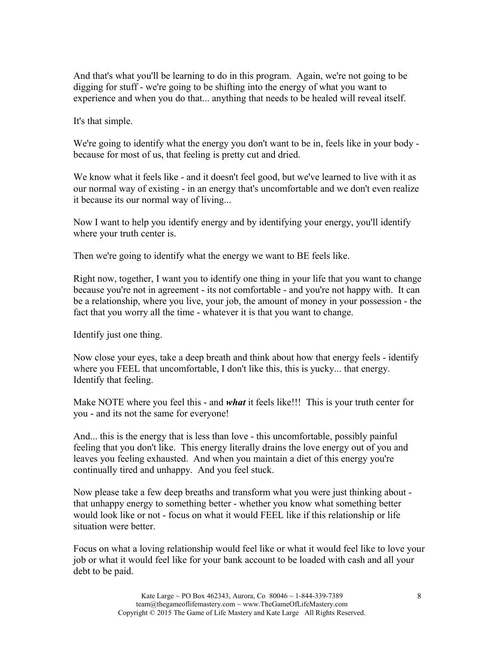And that's what you'll be learning to do in this program. Again, we're not going to be digging for stuff - we're going to be shifting into the energy of what you want to experience and when you do that... anything that needs to be healed will reveal itself.

It's that simple.

We're going to identify what the energy you don't want to be in, feels like in your body because for most of us, that feeling is pretty cut and dried.

We know what it feels like - and it doesn't feel good, but we've learned to live with it as our normal way of existing - in an energy that's uncomfortable and we don't even realize it because its our normal way of living...

Now I want to help you identify energy and by identifying your energy, you'll identify where your truth center is.

Then we're going to identify what the energy we want to BE feels like.

Right now, together, I want you to identify one thing in your life that you want to change because you're not in agreement - its not comfortable - and you're not happy with. It can be a relationship, where you live, your job, the amount of money in your possession - the fact that you worry all the time - whatever it is that you want to change.

Identify just one thing.

Now close your eyes, take a deep breath and think about how that energy feels - identify where you FEEL that uncomfortable, I don't like this, this is yucky... that energy. Identify that feeling.

Make NOTE where you feel this - and *what* it feels like!!! This is your truth center for you - and its not the same for everyone!

And... this is the energy that is less than love - this uncomfortable, possibly painful feeling that you don't like. This energy literally drains the love energy out of you and leaves you feeling exhausted. And when you maintain a diet of this energy you're continually tired and unhappy. And you feel stuck.

Now please take a few deep breaths and transform what you were just thinking about that unhappy energy to something better - whether you know what something better would look like or not - focus on what it would FEEL like if this relationship or life situation were better.

Focus on what a loving relationship would feel like or what it would feel like to love your job or what it would feel like for your bank account to be loaded with cash and all your debt to be paid.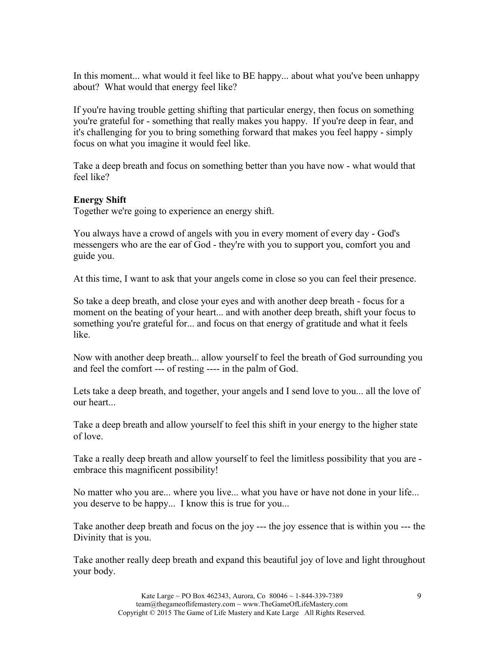In this moment... what would it feel like to BE happy... about what you've been unhappy about? What would that energy feel like?

If you're having trouble getting shifting that particular energy, then focus on something you're grateful for - something that really makes you happy. If you're deep in fear, and it's challenging for you to bring something forward that makes you feel happy - simply focus on what you imagine it would feel like.

Take a deep breath and focus on something better than you have now - what would that feel like?

# **Energy Shift**

Together we're going to experience an energy shift.

You always have a crowd of angels with you in every moment of every day - God's messengers who are the ear of God - they're with you to support you, comfort you and guide you.

At this time, I want to ask that your angels come in close so you can feel their presence.

So take a deep breath, and close your eyes and with another deep breath - focus for a moment on the beating of your heart... and with another deep breath, shift your focus to something you're grateful for... and focus on that energy of gratitude and what it feels like.

Now with another deep breath... allow yourself to feel the breath of God surrounding you and feel the comfort --- of resting ---- in the palm of God.

Lets take a deep breath, and together, your angels and I send love to you... all the love of our heart...

Take a deep breath and allow yourself to feel this shift in your energy to the higher state of love.

Take a really deep breath and allow yourself to feel the limitless possibility that you are embrace this magnificent possibility!

No matter who you are... where you live... what you have or have not done in your life... you deserve to be happy... I know this is true for you...

Take another deep breath and focus on the joy --- the joy essence that is within you --- the Divinity that is you.

Take another really deep breath and expand this beautiful joy of love and light throughout your body.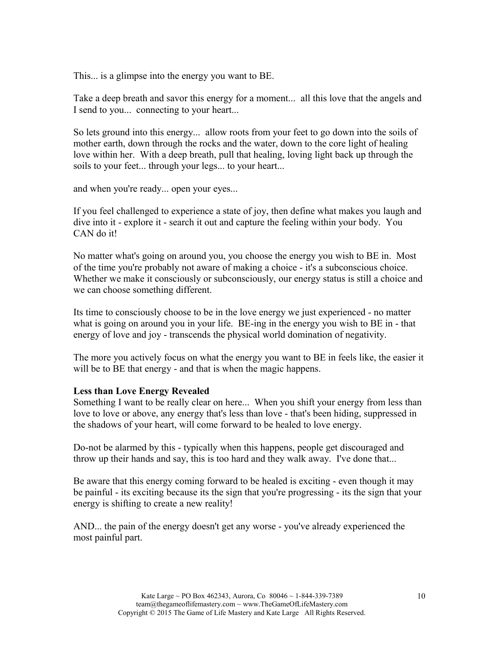This... is a glimpse into the energy you want to BE.

Take a deep breath and savor this energy for a moment... all this love that the angels and I send to you... connecting to your heart...

So lets ground into this energy... allow roots from your feet to go down into the soils of mother earth, down through the rocks and the water, down to the core light of healing love within her. With a deep breath, pull that healing, loving light back up through the soils to your feet... through your legs... to your heart...

and when you're ready... open your eyes...

If you feel challenged to experience a state of joy, then define what makes you laugh and dive into it - explore it - search it out and capture the feeling within your body. You CAN do it!

No matter what's going on around you, you choose the energy you wish to BE in. Most of the time you're probably not aware of making a choice - it's a subconscious choice. Whether we make it consciously or subconsciously, our energy status is still a choice and we can choose something different.

Its time to consciously choose to be in the love energy we just experienced - no matter what is going on around you in your life. BE-ing in the energy you wish to BE in - that energy of love and joy - transcends the physical world domination of negativity.

The more you actively focus on what the energy you want to BE in feels like, the easier it will be to BE that energy - and that is when the magic happens.

#### **Less than Love Energy Revealed**

Something I want to be really clear on here... When you shift your energy from less than love to love or above, any energy that's less than love - that's been hiding, suppressed in the shadows of your heart, will come forward to be healed to love energy.

Do-not be alarmed by this - typically when this happens, people get discouraged and throw up their hands and say, this is too hard and they walk away. I've done that...

Be aware that this energy coming forward to be healed is exciting - even though it may be painful - its exciting because its the sign that you're progressing - its the sign that your energy is shifting to create a new reality!

AND... the pain of the energy doesn't get any worse - you've already experienced the most painful part.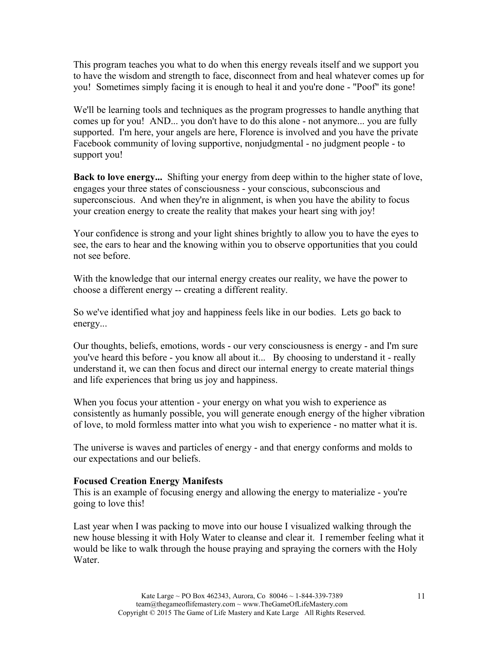This program teaches you what to do when this energy reveals itself and we support you to have the wisdom and strength to face, disconnect from and heal whatever comes up for you! Sometimes simply facing it is enough to heal it and you're done - "Poof" its gone!

We'll be learning tools and techniques as the program progresses to handle anything that comes up for you! AND... you don't have to do this alone - not anymore... you are fully supported. I'm here, your angels are here, Florence is involved and you have the private Facebook community of loving supportive, nonjudgmental - no judgment people - to support you!

**Back to love energy...** Shifting your energy from deep within to the higher state of love, engages your three states of consciousness - your conscious, subconscious and superconscious. And when they're in alignment, is when you have the ability to focus your creation energy to create the reality that makes your heart sing with joy!

Your confidence is strong and your light shines brightly to allow you to have the eyes to see, the ears to hear and the knowing within you to observe opportunities that you could not see before.

With the knowledge that our internal energy creates our reality, we have the power to choose a different energy -- creating a different reality.

So we've identified what joy and happiness feels like in our bodies. Lets go back to energy...

Our thoughts, beliefs, emotions, words - our very consciousness is energy - and I'm sure you've heard this before - you know all about it... By choosing to understand it - really understand it, we can then focus and direct our internal energy to create material things and life experiences that bring us joy and happiness.

When you focus your attention - your energy on what you wish to experience as consistently as humanly possible, you will generate enough energy of the higher vibration of love, to mold formless matter into what you wish to experience - no matter what it is.

The universe is waves and particles of energy - and that energy conforms and molds to our expectations and our beliefs.

#### **Focused Creation Energy Manifests**

This is an example of focusing energy and allowing the energy to materialize - you're going to love this!

Last year when I was packing to move into our house I visualized walking through the new house blessing it with Holy Water to cleanse and clear it. I remember feeling what it would be like to walk through the house praying and spraying the corners with the Holy Water.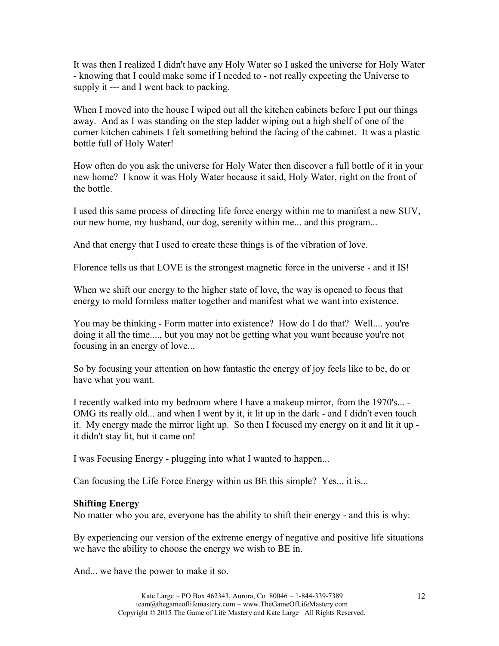It was then I realized I didn't have any Holy Water so I asked the universe for Holy Water - knowing that I could make some if I needed to - not really expecting the Universe to supply it --- and I went back to packing.

When I moved into the house I wiped out all the kitchen cabinets before I put our things away. And as I was standing on the step ladder wiping out a high shelf of one of the corner kitchen cabinets I felt something behind the facing of the cabinet. It was a plastic bottle full of Holy Water!

How often do you ask the universe for Holy Water then discover a full bottle of it in your new home? I know it was Holy Water because it said, Holy Water, right on the front of the bottle.

I used this same process of directing life force energy within me to manifest a new SUV, our new home, my husband, our dog, serenity within me... and this program...

And that energy that I used to create these things is of the vibration of love.

Florence tells us that LOVE is the strongest magnetic force in the universe - and it IS!

When we shift our energy to the higher state of love, the way is opened to focus that energy to mold formless matter together and manifest what we want into existence.

You may be thinking - Form matter into existence? How do I do that? Well.... you're doing it all the time...., but you may not be getting what you want because you're not focusing in an energy of love...

So by focusing your attention on how fantastic the energy of joy feels like to be, do or have what you want.

I recently walked into my bedroom where I have a makeup mirror, from the 1970's... - OMG its really old... and when I went by it, it lit up in the dark - and I didn't even touch it. My energy made the mirror light up. So then I focused my energy on it and lit it up it didn't stay lit, but it came on!

I was Focusing Energy - plugging into what I wanted to happen...

Can focusing the Life Force Energy within us BE this simple? Yes... it is...

#### **Shifting Energy**

No matter who you are, everyone has the ability to shift their energy - and this is why:

By experiencing our version of the extreme energy of negative and positive life situations we have the ability to choose the energy we wish to BE in.

And... we have the power to make it so.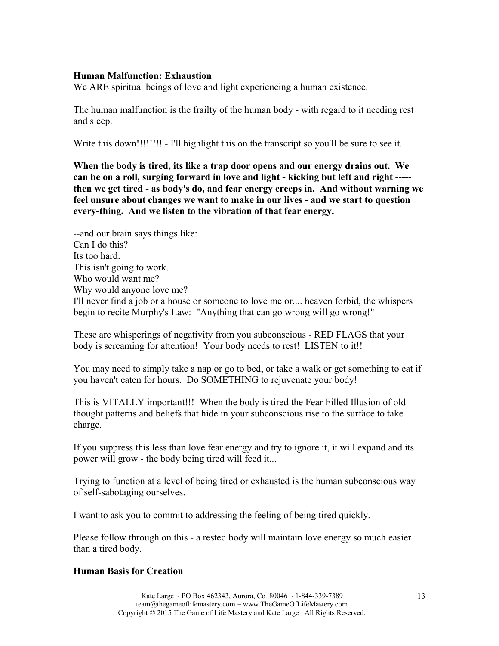#### **Human Malfunction: Exhaustion**

We ARE spiritual beings of love and light experiencing a human existence.

The human malfunction is the frailty of the human body - with regard to it needing rest and sleep.

Write this down!!!!!!!! - I'll highlight this on the transcript so you'll be sure to see it.

**When the body is tired, its like a trap door opens and our energy drains out. We can be on a roll, surging forward in love and light - kicking but left and right ---- then we get tired - as body's do, and fear energy creeps in. And without warning we feel unsure about changes we want to make in our lives - and we start to question every-thing. And we listen to the vibration of that fear energy.**

--and our brain says things like: Can I do this? Its too hard. This isn't going to work. Who would want me? Why would anyone love me? I'll never find a job or a house or someone to love me or.... heaven forbid, the whispers begin to recite Murphy's Law: "Anything that can go wrong will go wrong!"

These are whisperings of negativity from you subconscious - RED FLAGS that your body is screaming for attention! Your body needs to rest! LISTEN to it!!

You may need to simply take a nap or go to bed, or take a walk or get something to eat if you haven't eaten for hours. Do SOMETHING to rejuvenate your body!

This is VITALLY important!!! When the body is tired the Fear Filled Illusion of old thought patterns and beliefs that hide in your subconscious rise to the surface to take charge.

If you suppress this less than love fear energy and try to ignore it, it will expand and its power will grow - the body being tired will feed it...

Trying to function at a level of being tired or exhausted is the human subconscious way of self-sabotaging ourselves.

I want to ask you to commit to addressing the feeling of being tired quickly.

Please follow through on this - a rested body will maintain love energy so much easier than a tired body.

## **Human Basis for Creation**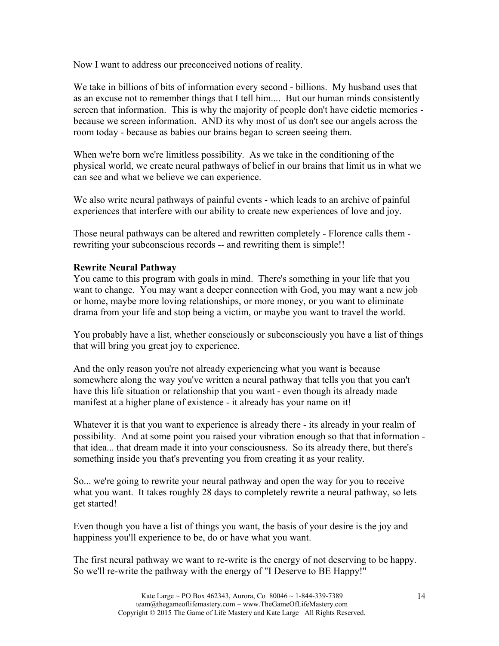Now I want to address our preconceived notions of reality.

We take in billions of bits of information every second - billions. My husband uses that as an excuse not to remember things that I tell him.... But our human minds consistently screen that information. This is why the majority of people don't have eidetic memories because we screen information. AND its why most of us don't see our angels across the room today - because as babies our brains began to screen seeing them.

When we're born we're limitless possibility. As we take in the conditioning of the physical world, we create neural pathways of belief in our brains that limit us in what we can see and what we believe we can experience.

We also write neural pathways of painful events - which leads to an archive of painful experiences that interfere with our ability to create new experiences of love and joy.

Those neural pathways can be altered and rewritten completely - Florence calls them rewriting your subconscious records -- and rewriting them is simple!!

## **Rewrite Neural Pathway**

You came to this program with goals in mind. There's something in your life that you want to change. You may want a deeper connection with God, you may want a new job or home, maybe more loving relationships, or more money, or you want to eliminate drama from your life and stop being a victim, or maybe you want to travel the world.

You probably have a list, whether consciously or subconsciously you have a list of things that will bring you great joy to experience.

And the only reason you're not already experiencing what you want is because somewhere along the way you've written a neural pathway that tells you that you can't have this life situation or relationship that you want - even though its already made manifest at a higher plane of existence - it already has your name on it!

Whatever it is that you want to experience is already there - its already in your realm of possibility. And at some point you raised your vibration enough so that that information that idea... that dream made it into your consciousness. So its already there, but there's something inside you that's preventing you from creating it as your reality.

So... we're going to rewrite your neural pathway and open the way for you to receive what you want. It takes roughly 28 days to completely rewrite a neural pathway, so lets get started!

Even though you have a list of things you want, the basis of your desire is the joy and happiness you'll experience to be, do or have what you want.

The first neural pathway we want to re-write is the energy of not deserving to be happy. So we'll re-write the pathway with the energy of "I Deserve to BE Happy!"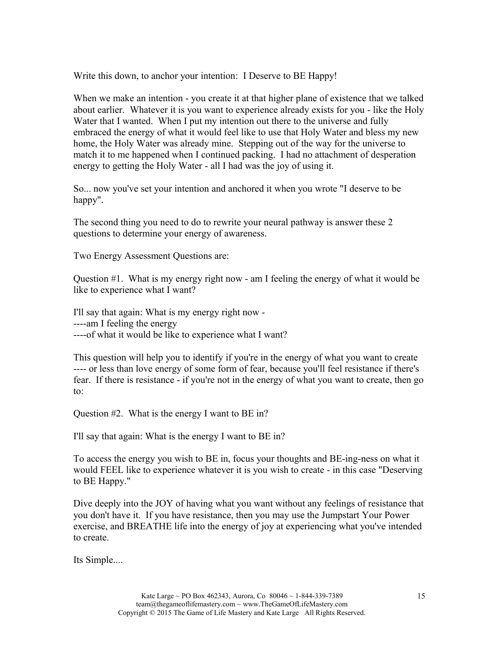Write this down, to anchor your intention: I Deserve to BE Happy!

When we make an intention - you create it at that higher plane of existence that we talked about earlier. Whatever it is you want to experience already exists for you - like the Holy Water that I wanted. When I put my intention out there to the universe and fully embraced the energy of what it would feel like to use that Holy Water and bless my new home, the Holy Water was already mine. Stepping out of the way for the universe to match it to me happened when I continued packing. I had no attachment of desperation energy to getting the Holy Water - all I had was the joy of using it.

So... now you've set your intention and anchored it when you wrote "I deserve to be happy".

The second thing you need to do to rewrite your neural pathway is answer these 2 questions to determine your energy of awareness.

Two Energy Assessment Questions are:

Question #1. What is my energy right now - am I feeling the energy of what it would be like to experience what I want?

I'll say that again: What is my energy right now - ----am I feeling the energy ----of what it would be like to experience what I want?

This question will help you to identify if you're in the energy of what you want to create ---- or less than love energy of some form of fear, because you'll feel resistance if there's fear. If there is resistance - if you're not in the energy of what you want to create, then go to:

Question  $#2$ . What is the energy I want to BE in?

I'll say that again: What is the energy I want to BE in?

To access the energy you wish to BE in, focus your thoughts and BE-ing-ness on what it would FEEL like to experience whatever it is you wish to create - in this case "Deserving to BE Happy."

Dive deeply into the JOY of having what you want without any feelings of resistance that you don't have it. If you have resistance, then you may use the Jumpstart Your Power exercise, and BREATHE life into the energy of joy at experiencing what you've intended to create.

Its Simple....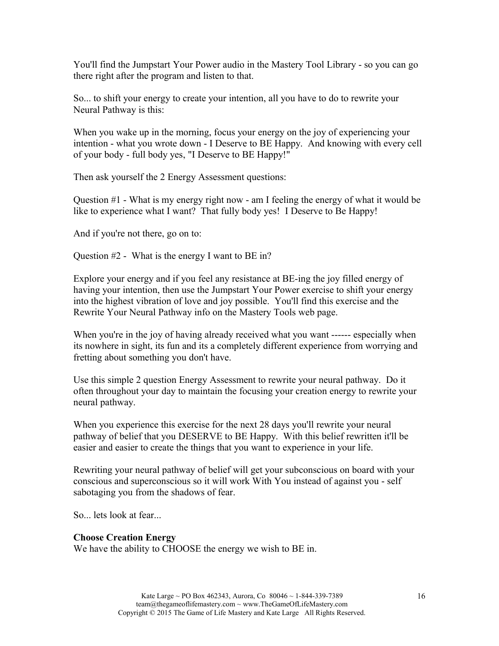You'll find the Jumpstart Your Power audio in the Mastery Tool Library - so you can go there right after the program and listen to that.

So... to shift your energy to create your intention, all you have to do to rewrite your Neural Pathway is this:

When you wake up in the morning, focus your energy on the joy of experiencing your intention - what you wrote down - I Deserve to BE Happy. And knowing with every cell of your body - full body yes, "I Deserve to BE Happy!"

Then ask yourself the 2 Energy Assessment questions:

Question #1 - What is my energy right now - am I feeling the energy of what it would be like to experience what I want? That fully body yes! I Deserve to Be Happy!

And if you're not there, go on to:

Question #2 - What is the energy I want to BE in?

Explore your energy and if you feel any resistance at BE-ing the joy filled energy of having your intention, then use the Jumpstart Your Power exercise to shift your energy into the highest vibration of love and joy possible. You'll find this exercise and the Rewrite Your Neural Pathway info on the Mastery Tools web page.

When you're in the joy of having already received what you want ------ especially when its nowhere in sight, its fun and its a completely different experience from worrying and fretting about something you don't have.

Use this simple 2 question Energy Assessment to rewrite your neural pathway. Do it often throughout your day to maintain the focusing your creation energy to rewrite your neural pathway.

When you experience this exercise for the next 28 days you'll rewrite your neural pathway of belief that you DESERVE to BE Happy. With this belief rewritten it'll be easier and easier to create the things that you want to experience in your life.

Rewriting your neural pathway of belief will get your subconscious on board with your conscious and superconscious so it will work With You instead of against you - self sabotaging you from the shadows of fear.

So... lets look at fear...

#### **Choose Creation Energy**

We have the ability to CHOOSE the energy we wish to BE in.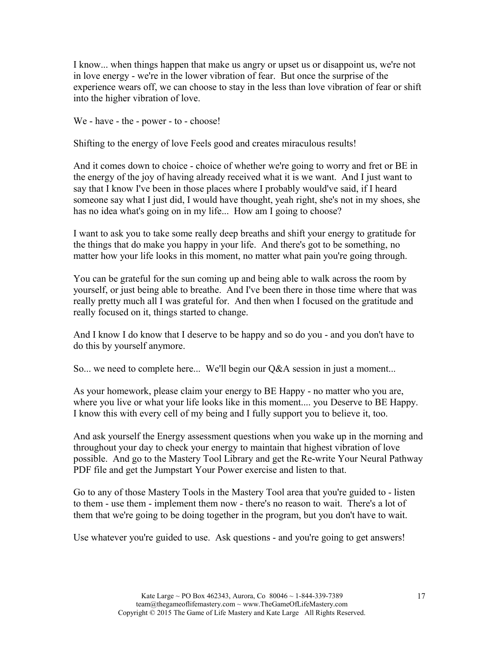I know... when things happen that make us angry or upset us or disappoint us, we're not in love energy - we're in the lower vibration of fear. But once the surprise of the experience wears off, we can choose to stay in the less than love vibration of fear or shift into the higher vibration of love.

We - have - the - power - to - choose!

Shifting to the energy of love Feels good and creates miraculous results!

And it comes down to choice - choice of whether we're going to worry and fret or BE in the energy of the joy of having already received what it is we want. And I just want to say that I know I've been in those places where I probably would've said, if I heard someone say what I just did, I would have thought, yeah right, she's not in my shoes, she has no idea what's going on in my life... How am I going to choose?

I want to ask you to take some really deep breaths and shift your energy to gratitude for the things that do make you happy in your life. And there's got to be something, no matter how your life looks in this moment, no matter what pain you're going through.

You can be grateful for the sun coming up and being able to walk across the room by yourself, or just being able to breathe. And I've been there in those time where that was really pretty much all I was grateful for. And then when I focused on the gratitude and really focused on it, things started to change.

And I know I do know that I deserve to be happy and so do you - and you don't have to do this by yourself anymore.

So... we need to complete here... We'll begin our Q&A session in just a moment...

As your homework, please claim your energy to BE Happy - no matter who you are, where you live or what your life looks like in this moment.... you Deserve to BE Happy. I know this with every cell of my being and I fully support you to believe it, too.

And ask yourself the Energy assessment questions when you wake up in the morning and throughout your day to check your energy to maintain that highest vibration of love possible. And go to the Mastery Tool Library and get the Re-write Your Neural Pathway PDF file and get the Jumpstart Your Power exercise and listen to that.

Go to any of those Mastery Tools in the Mastery Tool area that you're guided to - listen to them - use them - implement them now - there's no reason to wait. There's a lot of them that we're going to be doing together in the program, but you don't have to wait.

Use whatever you're guided to use. Ask questions - and you're going to get answers!